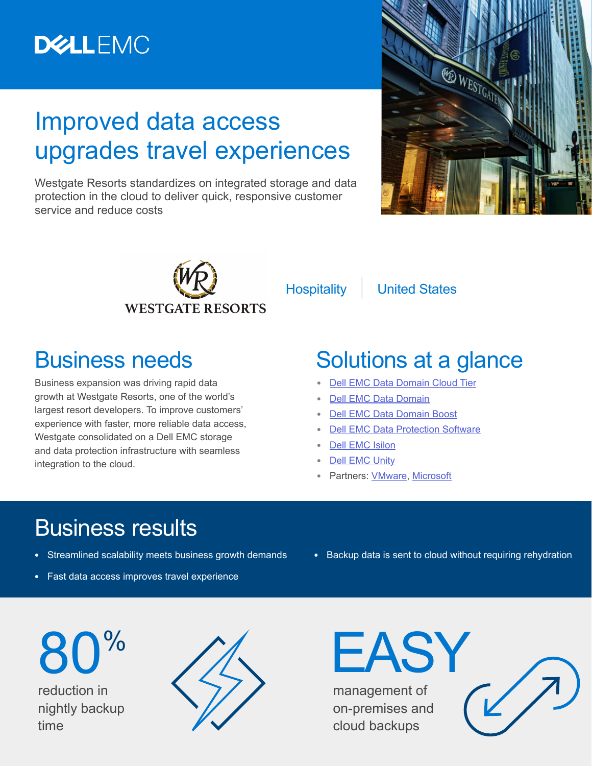# **DELLEMC**

## Improved data access upgrades travel experiences

Westgate Resorts standardizes on integrated storage and data protection in the cloud to deliver quick, responsive customer service and reduce costs





Hospitality | United States

#### Business needs

Business expansion was driving rapid data growth at Westgate Resorts, one of the world's largest resort developers. To improve customers' experience with faster, more reliable data access, Westgate consolidated on a Dell EMC storage and data protection infrastructure with seamless integration to the cloud.

## Solutions at a glance

- **•** [Dell EMC Data Domain Cloud Tier](https://shop.dellemc.com/en-us/Product-Family/DATA-DOMAIN-PRODUCTS/Dell-EMC-Data-Domain-Cloud-Tier/p/DellEMC-Data-Domain-Cloud-Tier)
- **•** [Dell EMC Data Domain](https://www.dellemc.com/en-us/data-protection/data-domain-backup-storage.htm#collapse)
- **•** [Dell EMC Data Domain Boost](https://shop.dellemc.com/en-us/Solve-For/BACKUP-PRODUCTS/Dell-EMC-Data-Domain-Boost-Data-Protection-Software/p/DDM-SPEC-SOFT-001-1Q13-0046?PID=EMC_SRS-DDBST-1A50_HEAD)
- **[Dell EMC Data Protection Software](https://www.dellemc.com/en-us/data-protection/data-protection-suite/index.htm)**
- **•** [Dell EMC Isilon](https://www.dellemc.com/en-us/storage/isilon/index.htm)
- **•** [Dell EMC Unity](https://www.dellemc.com/en-us/storage/unity.htm)
- **•** Partners: [VMware](https://www.vmware.com/), [Microsoft](https://www.microsoft.com/en-us/)

## Business results

- **•** Streamlined scalability meets business growth demands
- **•** Fast data access improves travel experience
- **•** Backup data is sent to cloud without requiring rehydration

reduction in nightly backup time 80%



management of on-premises and cloud backups

EASY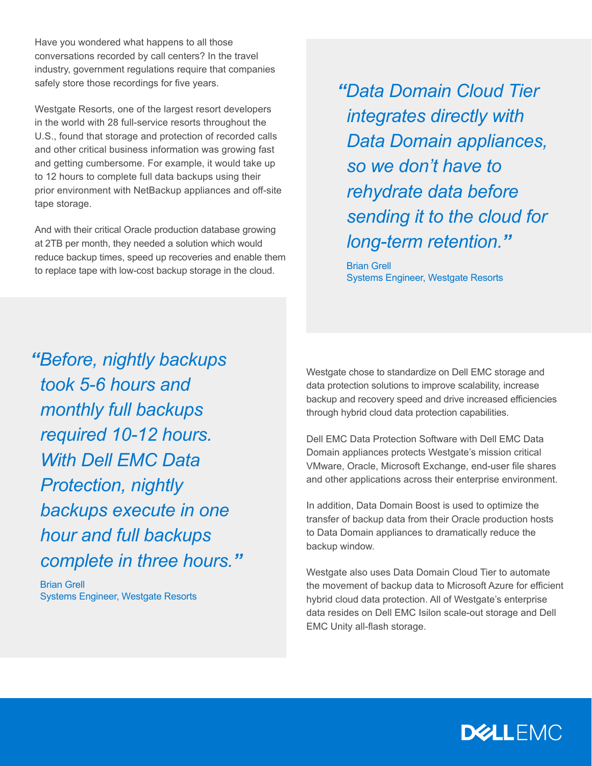Have you wondered what happens to all those conversations recorded by call centers? In the travel industry, government regulations require that companies safely store those recordings for five years.

Westgate Resorts, one of the largest resort developers in the world with 28 full-service resorts throughout the U.S., found that storage and protection of recorded calls and other critical business information was growing fast and getting cumbersome. For example, it would take up to 12 hours to complete full data backups using their prior environment with NetBackup appliances and off-site tape storage.

And with their critical Oracle production database growing at 2TB per month, they needed a solution which would reduce backup times, speed up recoveries and enable them to replace tape with low-cost backup storage in the cloud.

*"Data Domain Cloud Tier integrates directly with Data Domain appliances, so we don't have to rehydrate data before sending it to the cloud for long-term retention."*

Brian Grell Systems Engineer, Westgate Resorts

*"Before, nightly backups took 5-6 hours and monthly full backups required 10-12 hours. With Dell EMC Data Protection, nightly backups execute in one hour and full backups complete in three hours."*

Brian Grell Systems Engineer, Westgate Resorts Westgate chose to standardize on Dell EMC storage and data protection solutions to improve scalability, increase backup and recovery speed and drive increased efficiencies through hybrid cloud data protection capabilities.

Dell EMC Data Protection Software with Dell EMC Data Domain appliances protects Westgate's mission critical VMware, Oracle, Microsoft Exchange, end-user file shares and other applications across their enterprise environment.

In addition, Data Domain Boost is used to optimize the transfer of backup data from their Oracle production hosts to Data Domain appliances to dramatically reduce the backup window.

Westgate also uses Data Domain Cloud Tier to automate the movement of backup data to Microsoft Azure for efficient hybrid cloud data protection. All of Westgate's enterprise data resides on Dell EMC Isilon scale-out storage and Dell EMC Unity all-flash storage.